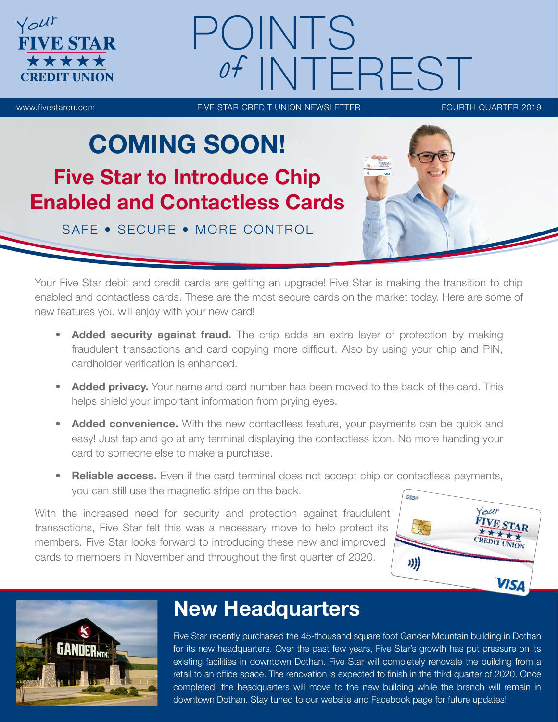

# OINTS **NTEREST**

www.fivestarcu.com **FIVE STAR CREDIT UNION NEWSLETTER** FOURTH QUARTER 2019

# COMING SOON! Five Star to Introduce Chip Enabled and Contactless Cards

SAFE • SECURE • MORE CONTROL

Your Five Star debit and credit cards are getting an upgrade! Five Star is making the transition to chip enabled and contactless cards. These are the most secure cards on the market today. Here are some of new features you will enjoy with your new card!

- Added security against fraud. The chip adds an extra layer of protection by making fraudulent transactions and card copying more difficult. Also by using your chip and PIN, cardholder verification is enhanced.
- Added privacy. Your name and card number has been moved to the back of the card. This helps shield your important information from prying eyes.
- **Added convenience.** With the new contactless feature, your payments can be quick and easy! Just tap and go at any terminal displaying the contactless icon. No more handing your card to someone else to make a purchase.
- Reliable access. Even if the card terminal does not accept chip or contactless payments, you can still use the magnetic stripe on the back.

With the increased need for security and protection against fraudulent transactions, Five Star felt this was a necessary move to help protect its members. Five Star looks forward to introducing these new and improved cards to members in November and throughout the first quarter of 2020.





## New Headquarters

Five Star recently purchased the 45-thousand square foot Gander Mountain building in Dothan for its new headquarters. Over the past few years, Five Star's growth has put pressure on its existing facilities in downtown Dothan. Five Star will completely renovate the building from a retail to an office space. The renovation is expected to finish in the third quarter of 2020. Once completed, the headquarters will move to the new building while the branch will remain in downtown Dothan. Stay tuned to our website and Facebook page for future updates!